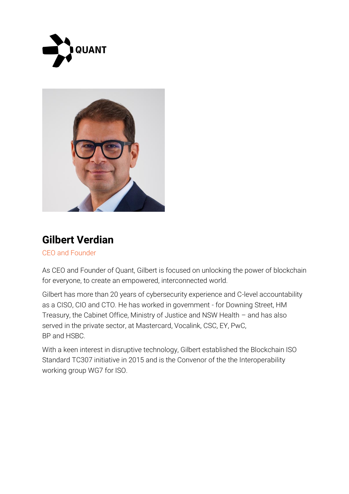



# **Gilbert Verdian**

## CEO and Founder

As CEO and Founder of Quant, Gilbert is focused on unlocking the power of blockchain for everyone, to create an empowered, interconnected world.

Gilbert has more than 20 years of cybersecurity experience and C-level accountability as a CISO, CIO and CTO. He has worked in government - for Downing Street, HM Treasury, the Cabinet Office, Ministry of Justice and NSW Health – and has also served in the private sector, at Mastercard, Vocalink, CSC, EY, PwC, BP and HSBC.

With a keen interest in disruptive technology, Gilbert established the Blockchain ISO Standard TC307 initiative in 2015 and is the Convenor of the the Interoperability working group WG7 for ISO.